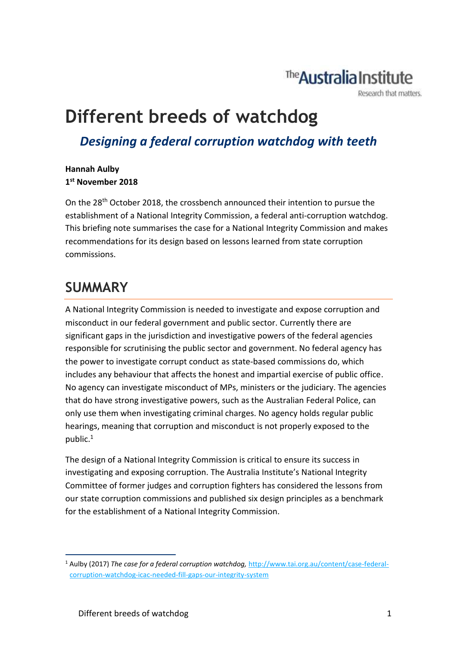# The **Australia** Institute

Research that matters.

# **Different breeds of watchdog**

*Designing a federal corruption watchdog with teeth*

#### **Hannah Aulby 1 st November 2018**

On the 28th October 2018, the crossbench announced their intention to pursue the establishment of a National Integrity Commission, a federal anti-corruption watchdog. This briefing note summarises the case for a National Integrity Commission and makes recommendations for its design based on lessons learned from state corruption commissions.

## **SUMMARY**

A National Integrity Commission is needed to investigate and expose corruption and misconduct in our federal government and public sector. Currently there are significant gaps in the jurisdiction and investigative powers of the federal agencies responsible for scrutinising the public sector and government. No federal agency has the power to investigate corrupt conduct as state-based commissions do, which includes any behaviour that affects the honest and impartial exercise of public office. No agency can investigate misconduct of MPs, ministers or the judiciary. The agencies that do have strong investigative powers, such as the Australian Federal Police, can only use them when investigating criminal charges. No agency holds regular public hearings, meaning that corruption and misconduct is not properly exposed to the public.<sup>1</sup>

The design of a National Integrity Commission is critical to ensure its success in investigating and exposing corruption. The Australia Institute's National Integrity Committee of former judges and corruption fighters has considered the lessons from our state corruption commissions and published six design principles as a benchmark for the establishment of a National Integrity Commission.

1

<sup>1</sup> Aulby (2017) *The case for a federal corruption watchdog,* [http://www.tai.org.au/content/case-federal](http://www.tai.org.au/content/case-federal-corruption-watchdog-icac-needed-fill-gaps-our-integrity-system)[corruption-watchdog-icac-needed-fill-gaps-our-integrity-system](http://www.tai.org.au/content/case-federal-corruption-watchdog-icac-needed-fill-gaps-our-integrity-system)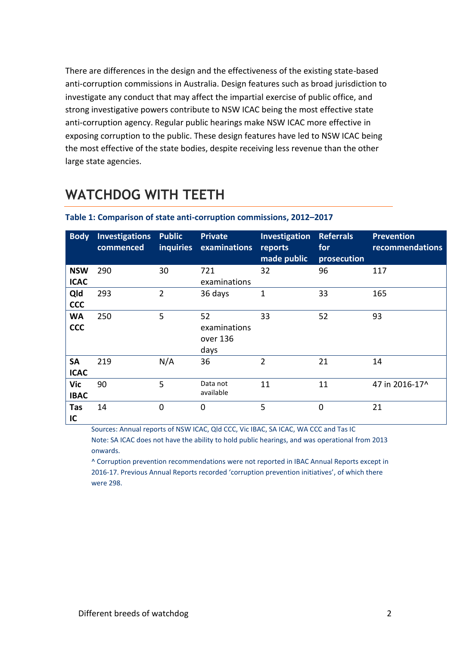There are differences in the design and the effectiveness of the existing state-based anti-corruption commissions in Australia. Design features such as broad jurisdiction to investigate any conduct that may affect the impartial exercise of public office, and strong investigative powers contribute to NSW ICAC being the most effective state anti-corruption agency. Regular public hearings make NSW ICAC more effective in exposing corruption to the public. These design features have led to NSW ICAC being the most effective of the state bodies, despite receiving less revenue than the other large state agencies.

## **WATCHDOG WITH TEETH**

| <b>Body</b>              | <b>Investigations</b><br>commenced | <b>Public</b><br><i>inquiries</i> | <b>Private</b><br>examinations   | Investigation<br>reports<br>made public | <b>Referrals</b><br>for<br>prosecution | <b>Prevention</b><br>recommendations |
|--------------------------|------------------------------------|-----------------------------------|----------------------------------|-----------------------------------------|----------------------------------------|--------------------------------------|
| <b>NSW</b>               | 290                                | 30                                | 721                              | 32                                      | 96                                     | 117                                  |
| <b>ICAC</b>              |                                    |                                   | examinations                     |                                         |                                        |                                      |
| Qld                      | 293                                | $\overline{2}$                    | 36 days                          | $\mathbf 1$                             | 33                                     | 165                                  |
| <b>CCC</b>               |                                    |                                   |                                  |                                         |                                        |                                      |
| <b>WA</b>                | 250                                | 5                                 | 52                               | 33                                      | 52                                     | 93                                   |
| <b>CCC</b>               |                                    |                                   | examinations<br>over 136<br>days |                                         |                                        |                                      |
| <b>SA</b><br><b>ICAC</b> | 219                                | N/A                               | 36                               | $\overline{2}$                          | 21                                     | 14                                   |
| Vic<br><b>IBAC</b>       | 90                                 | 5                                 | Data not<br>available            | 11                                      | 11                                     | 47 in 2016-17^                       |
| Tas<br>IC                | 14                                 | $\mathbf 0$                       | $\Omega$                         | 5                                       | 0                                      | 21                                   |

#### **Table 1: Comparison of state anti-corruption commissions, 2012–2017**

Sources: Annual reports of NSW ICAC, Qld CCC, Vic IBAC, SA ICAC, WA CCC and Tas IC

Note: SA ICAC does not have the ability to hold public hearings, and was operational from 2013 onwards.

^ Corruption prevention recommendations were not reported in IBAC Annual Reports except in 2016-17. Previous Annual Reports recorded 'corruption prevention initiatives', of which there were 298.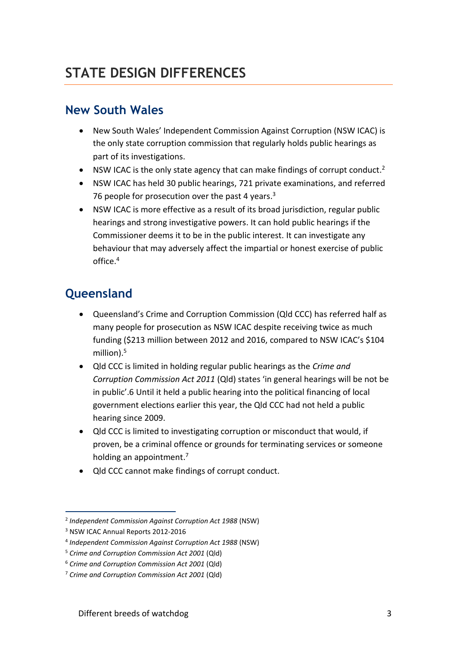## **STATE DESIGN DIFFERENCES**

#### **New South Wales**

- New South Wales' Independent Commission Against Corruption (NSW ICAC) is the only state corruption commission that regularly holds public hearings as part of its investigations.
- $\bullet$  NSW ICAC is the only state agency that can make findings of corrupt conduct.<sup>2</sup>
- NSW ICAC has held 30 public hearings, 721 private examinations, and referred 76 people for prosecution over the past 4 years.<sup>3</sup>
- NSW ICAC is more effective as a result of its broad jurisdiction, regular public hearings and strong investigative powers. It can hold public hearings if the Commissioner deems it to be in the public interest. It can investigate any behaviour that may adversely affect the impartial or honest exercise of public office  $4$

#### **Queensland**

- Queensland's Crime and Corruption Commission (Qld CCC) has referred half as many people for prosecution as NSW ICAC despite receiving twice as much funding (\$213 million between 2012 and 2016, compared to NSW ICAC's \$104 million). 5
- Qld CCC is limited in holding regular public hearings as the *Crime and Corruption Commission Act 2011* (Qld) states 'in general hearings will be not be in public'.6 Until it held a public hearing into the political financing of local government elections earlier this year, the Qld CCC had not held a public hearing since 2009.
- Qld CCC is limited to investigating corruption or misconduct that would, if proven, be a criminal offence or grounds for terminating services or someone holding an appointment.<sup>7</sup>
- Qld CCC cannot make findings of corrupt conduct.

1

<sup>2</sup> *Independent Commission Against Corruption Act 1988* (NSW)

<sup>3</sup> NSW ICAC Annual Reports 2012-2016

<sup>4</sup> *Independent Commission Against Corruption Act 1988* (NSW)

<sup>5</sup> *Crime and Corruption Commission Act 2001* (Qld)

<sup>6</sup> *Crime and Corruption Commission Act 2001* (Qld)

<sup>7</sup> *Crime and Corruption Commission Act 2001* (Qld)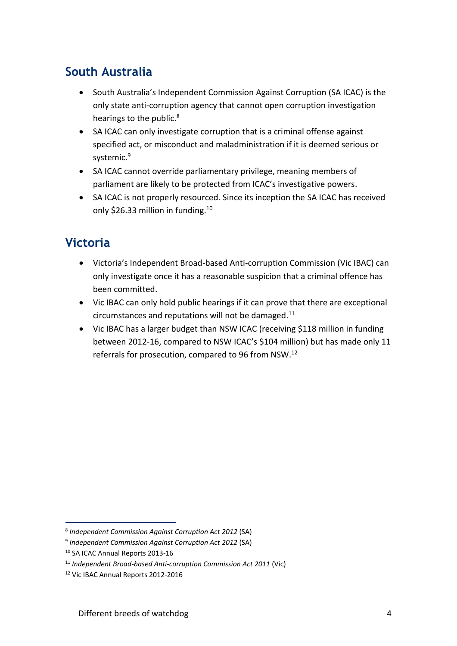#### **South Australia**

- South Australia's Independent Commission Against Corruption (SA ICAC) is the only state anti-corruption agency that cannot open corruption investigation hearings to the public.<sup>8</sup>
- SA ICAC can only investigate corruption that is a criminal offense against specified act, or misconduct and maladministration if it is deemed serious or systemic. 9
- SA ICAC cannot override parliamentary privilege, meaning members of parliament are likely to be protected from ICAC's investigative powers.
- SA ICAC is not properly resourced. Since its inception the SA ICAC has received only \$26.33 million in funding.<sup>10</sup>

### **Victoria**

- Victoria's Independent Broad-based Anti-corruption Commission (Vic IBAC) can only investigate once it has a reasonable suspicion that a criminal offence has been committed.
- Vic IBAC can only hold public hearings if it can prove that there are exceptional circumstances and reputations will not be damaged. 11
- Vic IBAC has a larger budget than NSW ICAC (receiving \$118 million in funding between 2012-16, compared to NSW ICAC's \$104 million) but has made only 11 referrals for prosecution, compared to 96 from NSW.<sup>12</sup>

1

<sup>8</sup> *Independent Commission Against Corruption Act 2012* (SA)

<sup>9</sup> *Independent Commission Against Corruption Act 2012* (SA)

<sup>10</sup> SA ICAC Annual Reports 2013-16

<sup>11</sup> *Independent Broad-based Anti-corruption Commission Act 2011* (Vic)

<sup>12</sup> Vic IBAC Annual Reports 2012-2016